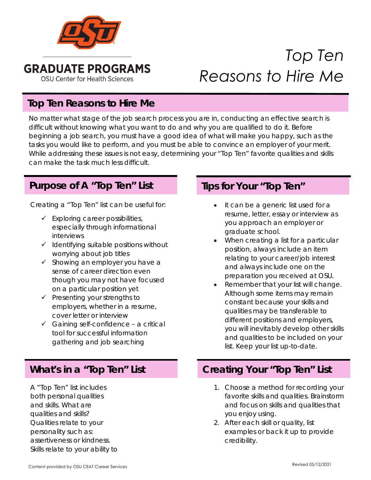

# *Top Ten Reasons to Hire Me*

### **Top Ten Reasons to Hire Me**

No matter what stage of the job search process you are in, conducting an effective search is difficult without knowing what you want to do and why you are qualified to do it. Before beginning a job search, you must have a good idea of what will make you happy, such as the tasks you would like to perform, and you must be able to convince an employer of your merit. While addressing these issues is not easy, determining your "Top Ten" favorite qualities and skills can make the task much less difficult.

### **Purpose of A "Top Ten" List**

Creating a "Top Ten" list can be useful for:

- $\checkmark$  Exploring career possibilities, especially through informational interviews
- $\checkmark$  Identifying suitable positions without worrying about job titles
- $\checkmark$  Showing an employer you have a sense of career direction even though you may not have focused on a particular position yet
- $\checkmark$  Presenting your strengths to employers, whether in a resume, cover letter or interview
- $\checkmark$  Gaining self-confidence a critical tool for successful information gathering and job searching

A "Top Ten" list includes both personal qualities and skills. What are qualities and skills? Qualities relate to your personality such as: assertiveness or kindness. Skills relate to your ability to

### **Tips for Your "Top Ten"**

- It can be a generic list used for a resume, letter, essay or interview as you approach an employer or graduate school.
- When creating a list for a particular position, always include an item relating to your career/job interest and always include one on the preparation you received at OSU.
- Remember that your list will change. Although some items may remain constant because your skills and qualities may be transferable to different positions and employers, you will inevitably develop other skills and qualities to be included on your list. Keep your list up-to-date.

## **What's in a "Top Ten" List Creating Your "Top Ten" List**

- 1. Choose a method for recording your favorite skills and qualities. Brainstorm and focus on skills and qualities that you enjoy using.
- 2. After each skill or quality, list examples or back it up to provide credibility.